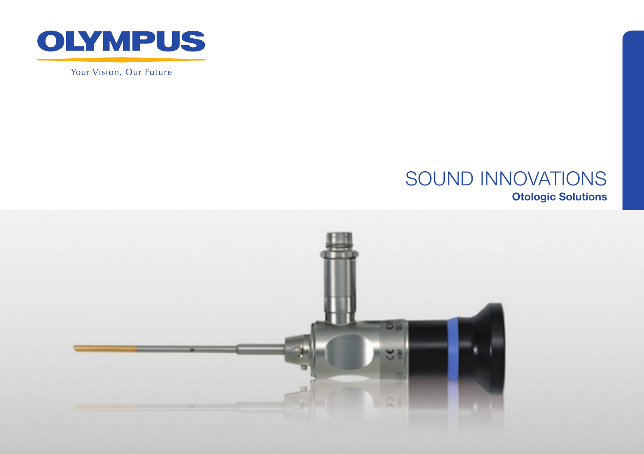

Your Vision, Our Future

### SOUND INNOVATIONS Otologic Solutions

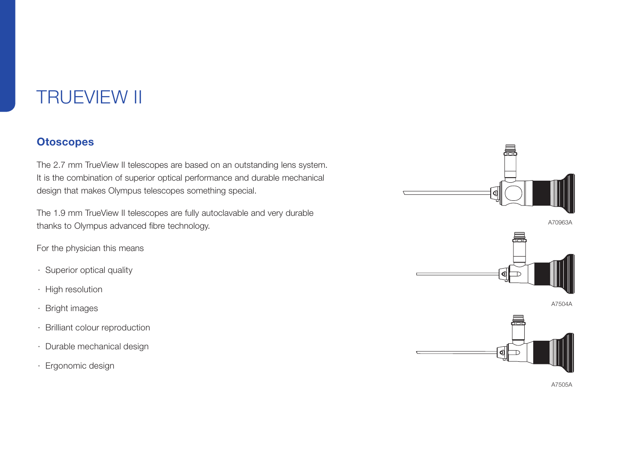### **TRUEVIEW II**

#### **Otoscopes**

The 2.7 mm TrueView II telescopes are based on an outstanding lens system. It is the combination of superior optical performance and durable mechanical design that makes Olympus telescopes something special.

The 1.9 mm TrueView II telescopes are fully autoclavable and very durable thanks to Olympus advanced fibre technology.

For the physician this means

- · Superior optical quality
- · High resolution
- · Bright images
- · Brilliant colour reproduction
- · Durable mechanical design
- · Ergonomic design



A70963A



A7504A



A7505A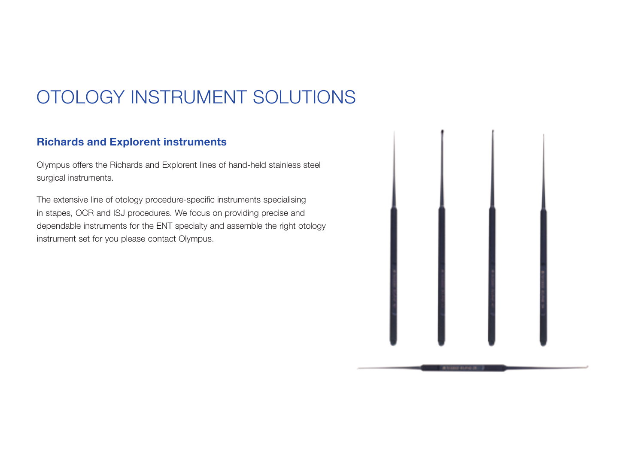## OTOLOGY INSTRUMENT SOLUTIONS

### Richards and Explorent instruments

Olympus offers the Richards and Explorent lines of hand-held stainless steel surgical instruments.

The extensive line of otology procedure-specific instruments specialising in stapes, OCR and ISJ procedures. We focus on providing precise and dependable instruments for the ENT specialty and assemble the right otology instrument set for you please contact Olympus.

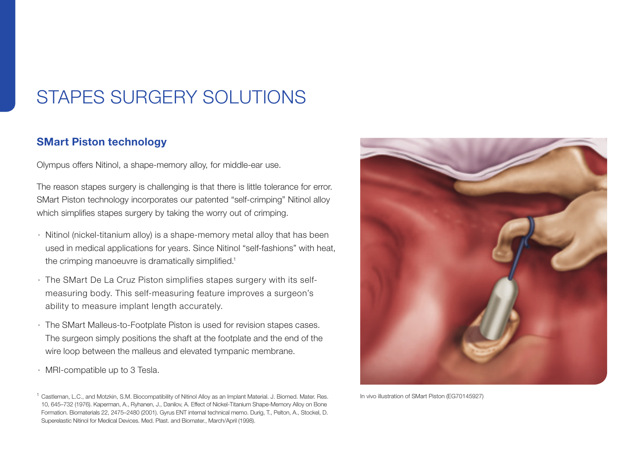### STAPeS SURGERY SOLUTIONS

#### SMart Piston technology

Olympus offers Nitinol, a shape-memory alloy, for middle-ear use.

The reason stapes surgery is challenging is that there is little tolerance for error. SMart Piston technology incorporates our patented "self-crimping" Nitinol alloy which simplifies stapes surgery by taking the worry out of crimping.

- · Nitinol (nickel-titanium alloy) is a shape-memory metal alloy that has been used in medical applications for years. Since Nitinol "self-fashions" with heat, the crimping manoeuvre is dramatically simplified.<sup>1</sup>
- · The SMart De La Cruz Piston simplifies stapes surgery with its selfmeasuring body. This self-measuring feature improves a surgeon's ability to measure implant length accurately.
- · The SMart Malleus-to-Footplate Piston is used for revision stapes cases. The surgeon simply positions the shaft at the footplate and the end of the wire loop between the malleus and elevated tympanic membrane.
- · MRI-compatible up to 3 Tesla.

<sup>1</sup> Castleman, L.C., and Motzkin, S.M. Biocompatibility of Nitinol Alloy as an Implant Material. J. Biomed. Mater. Res. 10, 645–732 (1976). Kaperman, A., Ryhanen, J., Danilov, A. Effect of Nickel-Titanium Shape-Memory Alloy on Bone Formation. Biomaterials 22, 2475–2480 (2001). Gyrus ENT internal technical memo. Durig, T., Pelton, A., Stockel, D. Superelastic Nitinol for Medical Devices. Med. Plast. and Biomater., March/April (1998).



In vivo illustration of SMart Piston (EG70145927)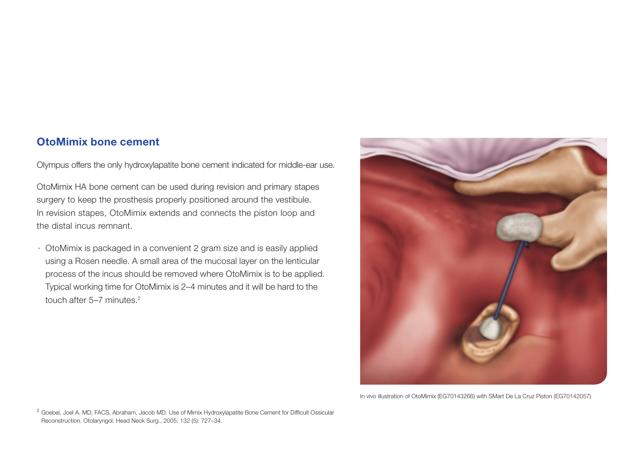### OtoMimix bone cement

Olympus offers the only hydroxylapatite bone cement indicated for middle-ear use.

OtoMimix HA bone cement can be used during revision and primary stapes surgery to keep the prosthesis properly positioned around the vestibule. In revision stapes, OtoMimix extends and connects the piston loop and the distal incus remnant.

· OtoMimix is packaged in a convenient 2 gram size and is easily applied using a Rosen needle. A small area of the mucosal layer on the lenticular process of the incus should be removed where OtoMimix is to be applied. Typical working time for OtoMimix is 2–4 minutes and it will be hard to the touch after 5–7 minutes.2



In vivo illustration of OtoMimix (EG70143266) with SMart De La Cruz Piston (EG70142057)

<sup>2</sup> Goebel, Joel A. MD, FACS, Abraham, Jacob MD. Use of Mimix Hydroxylapatite Bone Cement for Difficult Ossicular Reconstruction. Otolaryngol. Head Neck Surg., 2005; 132 (5): 727–34.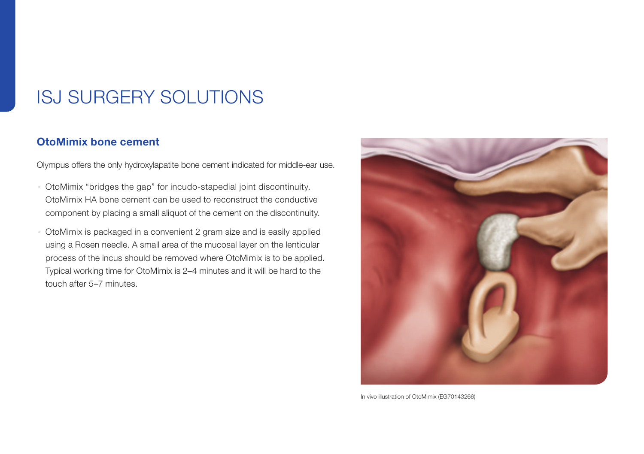### ISJ SURGERY SOLUTIONS

### OtoMimix bone cement

Olympus offers the only hydroxylapatite bone cement indicated for middle-ear use.

- · OtoMimix "bridges the gap" for incudo-stapedial joint discontinuity. OtoMimix HA bone cement can be used to reconstruct the conductive component by placing a small aliquot of the cement on the discontinuity.
- · OtoMimix is packaged in a convenient 2 gram size and is easily applied using a Rosen needle. A small area of the mucosal layer on the lenticular process of the incus should be removed where OtoMimix is to be applied. Typical working time for OtoMimix is 2–4 minutes and it will be hard to the touch after 5–7 minutes.



In vivo illustration of OtoMimix (EG70143266)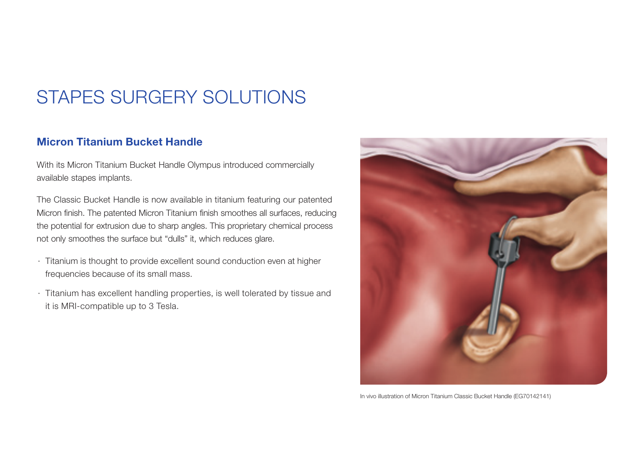### STAPES SURGERY SOLUTIONS

### Micron Titanium Bucket Handle

With its Micron Titanium Bucket Handle Olympus introduced commercially available stapes implants.

The Classic Bucket Handle is now available in titanium featuring our patented Micron finish. The patented Micron Titanium finish smoothes all surfaces, reducing the potential for extrusion due to sharp angles. This proprietary chemical process not only smoothes the surface but "dulls" it, which reduces glare.

- · Titanium is thought to provide excellent sound conduction even at higher frequencies because of its small mass.
- · Titanium has excellent handling properties, is well tolerated by tissue and it is MRI-compatible up to 3 Tesla.



In vivo illustration of Micron Titanium Classic Bucket Handle (EG70142141)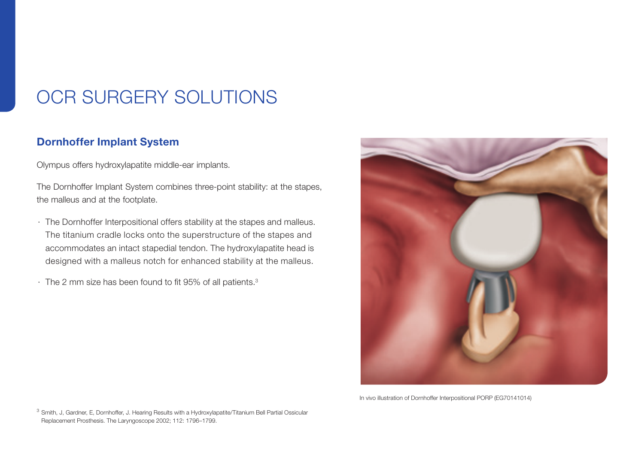### OCR SURGERY SOLUTIONS

#### Dornhoffer Implant System

Olympus offers hydroxylapatite middle-ear implants.

The Dornhoffer Implant System combines three-point stability: at the stapes, the malleus and at the footplate.

- · The Dornhoffer Interpositional offers stability at the stapes and malleus. The titanium cradle locks onto the superstructure of the stapes and accommodates an intact stapedial tendon. The hydroxylapatite head is designed with a malleus notch for enhanced stability at the malleus.
- $\cdot$  The 2 mm size has been found to fit 95% of all patients.<sup>3</sup>



In vivo illustration of Dornhoffer Interpositional PORP (EG70141014)

<sup>3</sup> Smith, J, Gardner, E, Dornhoffer, J. Hearing Results with a Hydroxylapatite/Titanium Bell Partial Ossicular Replacement Prosthesis. The Laryngoscope 2002; 112: 1796–1799.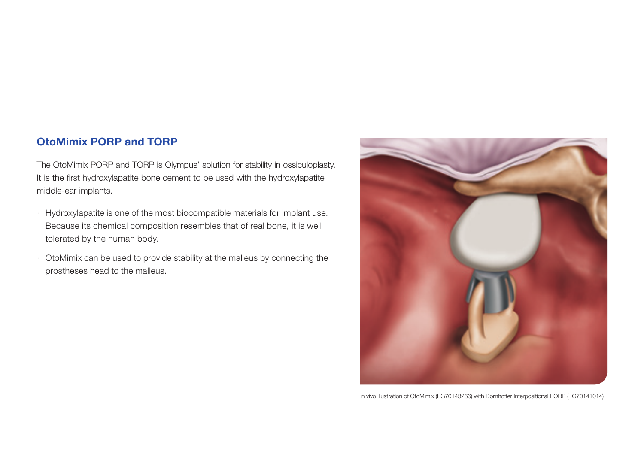### OtoMimix PORP and TORP

The OtoMimix PORP and TORP is Olympus' solution for stability in ossiculoplasty. It is the first hydroxylapatite bone cement to be used with the hydroxylapatite middle-ear implants.

- · Hydroxylapatite is one of the most biocompatible materials for implant use. Because its chemical composition resembles that of real bone, it is well tolerated by the human body.
- · OtoMimix can be used to provide stability at the malleus by connecting the prostheses head to the malleus.



In vivo illustration of OtoMimix (EG70143266) with Dornhoffer Interpositional PORP (EG70141014)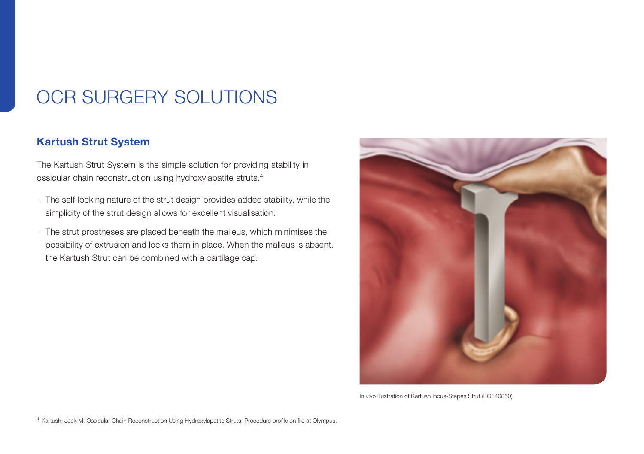### OCR SURGERY SOLUTIONS

#### Kartush Strut System

The Kartush Strut System is the simple solution for providing stability in ossicular chain reconstruction using hydroxylapatite struts.4

- · The self-locking nature of the strut design provides added stability, while the simplicity of the strut design allows for excellent visualisation.
- · The strut prostheses are placed beneath the malleus, which minimises the possibility of extrusion and locks them in place. When the malleus is absent, the Kartush Strut can be combined with a cartilage cap.



In vivo illustration of Kartush Incus-Stapes Strut (EG140850)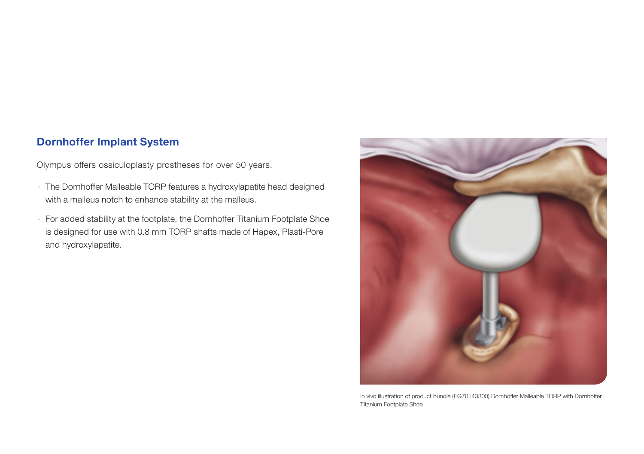### Dornhoffer Implant System

Olympus offers ossiculoplasty prostheses for over 50 years.

- · The Dornhoffer Malleable TORP features a hydroxylapatite head designed with a malleus notch to enhance stability at the malleus.
- · For added stability at the footplate, the Dornhoffer Titanium Footplate Shoe is designed for use with 0.8 mm TORP shafts made of Hapex, Plasti-Pore and hydroxylapatite.



In vivo illustration of product bundle (EG70143300) Dornhoffer Malleable TORP with Dornhoffer Titanium Footplate Shoe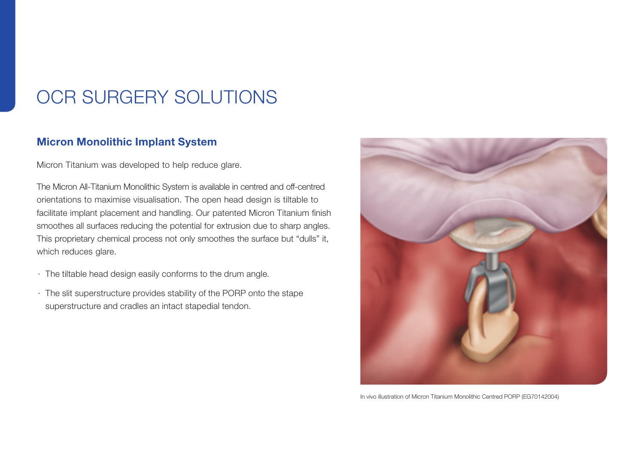### OCR SURGERY SOLUTIONS

#### Micron Monolithic Implant System

Micron Titanium was developed to help reduce glare.

The Micron All-Titanium Monolithic System is available in centred and off-centred orientations to maximise visualisation. The open head design is tiltable to facilitate implant placement and handling. Our patented Micron Titanium finish smoothes all surfaces reducing the potential for extrusion due to sharp angles. This proprietary chemical process not only smoothes the surface but "dulls" it, which reduces glare.

- · The tiltable head design easily conforms to the drum angle.
- · The slit superstructure provides stability of the PORP onto the stape superstructure and cradles an intact stapedial tendon.



In vivo illustration of Micron Titanium Monolithic Centred PORP (EG70142004)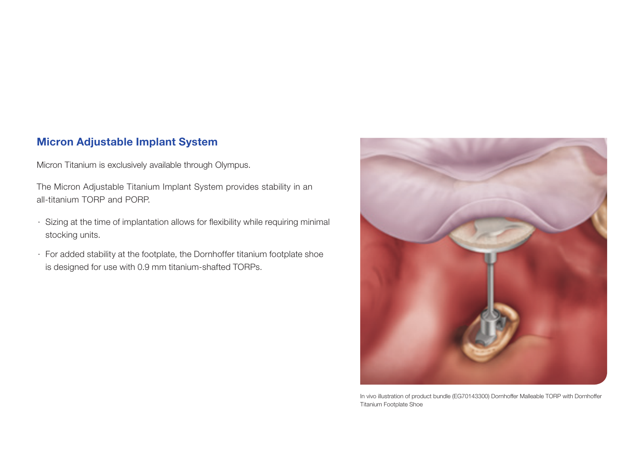### Micron Adjustable Implant System

Micron Titanium is exclusively available through Olympus.

The Micron Adjustable Titanium Implant System provides stability in an all-titanium TORP and PORP.

- · Sizing at the time of implantation allows for flexibility while requiring minimal stocking units.
- · For added stability at the footplate, the Dornhoffer titanium footplate shoe is designed for use with 0.9 mm titanium-shafted TORPs.



In vivo illustration of product bundle (EG70143300) Dornhoffer Malleable TORP with Dornhoffer Titanium Footplate Shoe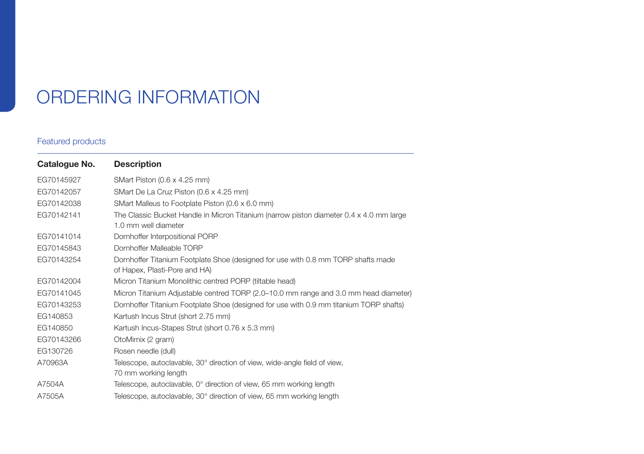# ORDERING INFORMATION

#### Featured products

| Catalogue No. | <b>Description</b>                                                                                                 |
|---------------|--------------------------------------------------------------------------------------------------------------------|
| EG70145927    | SMart Piston (0.6 x 4.25 mm)                                                                                       |
| EG70142057    | SMart De La Cruz Piston (0.6 x 4.25 mm)                                                                            |
| EG70142038    | SMart Malleus to Footplate Piston (0.6 x 6.0 mm)                                                                   |
| EG70142141    | The Classic Bucket Handle in Micron Titanium (narrow piston diameter 0.4 x 4.0 mm large<br>1.0 mm well diameter    |
| EG70141014    | Dornhoffer Interpositional PORP                                                                                    |
| EG70145843    | Dornhoffer Malleable TORP                                                                                          |
| EG70143254    | Dornhoffer Titanium Footplate Shoe (designed for use with 0.8 mm TORP shafts made<br>of Hapex, Plasti-Pore and HA) |
| EG70142004    | Micron Titanium Monolithic centred PORP (tiltable head)                                                            |
| EG70141045    | Micron Titanium Adjustable centred TORP (2.0–10.0 mm range and 3.0 mm head diameter)                               |
| EG70143253    | Dornhoffer Titanium Footplate Shoe (designed for use with 0.9 mm titanium TORP shafts)                             |
| EG140853      | Kartush Incus Strut (short 2.75 mm)                                                                                |
| EG140850      | Kartush Incus-Stapes Strut (short 0.76 x 5.3 mm)                                                                   |
| EG70143266    | OtoMimix (2 gram)                                                                                                  |
| EG130726      | Rosen needle (dull)                                                                                                |
| A70963A       | Telescope, autoclavable, 30° direction of view, wide-angle field of view,<br>70 mm working length                  |
| A7504A        | Telescope, autoclavable, 0° direction of view, 65 mm working length                                                |
| A7505A        | Telescope, autoclavable, 30° direction of view, 65 mm working length                                               |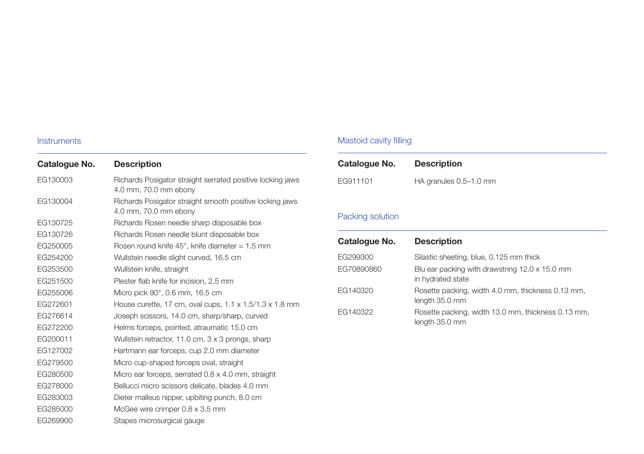#### **Instruments**

| Catalogue No. | <b>Description</b>                                                                  |
|---------------|-------------------------------------------------------------------------------------|
| EG130003      | Richards Posigator straight serrated positive locking jaws<br>4.0 mm, 70.0 mm ebony |
| EG130004      | Richards Posigator straight smooth positive locking jaws<br>4.0 mm, 70.0 mm ebony   |
| EG130725      | Richards Rosen needle sharp disposable box                                          |
| EG130726      | Richards Rosen needle blunt disposable box                                          |
| EG250005      | Rosen round knife 45°, knife diameter = 1.5 mm                                      |
| EG254200      | Wullstein needle slight curved, 16.5 cm                                             |
| EG253500      | Wullstein knife, straight                                                           |
| EG251500      | Plester flab knife for incision, 2.5 mm                                             |
| EG255006      | Micro pick 90°, 0.6 mm, 16.5 cm                                                     |
| EG272601      | House curette, 17 cm, oval cups, $1.1 \times 1.5/1.3 \times 1.8$ mm                 |
| EG276614      | Joseph scissors, 14.0 cm, sharp/sharp, curved                                       |
| EG272200      | Helms forceps, pointed, atraumatic 15.0 cm                                          |
| EG200011      | Wullstein retractor, 11.0 cm, 3 x 3 prongs, sharp                                   |
| EG127002      | Hartmann ear forceps, cup 2.0 mm diameter                                           |
| EG279500      | Micro cup-shaped forceps oval, straight                                             |
| EG280500      | Micro ear forceps, serrated 0.8 x 4.0 mm, straight                                  |
| EG278000      | Bellucci micro scissors delicate, blades 4.0 mm                                     |
| EG283003      | Dieter malleus nipper, upbiting punch, 8.0 cm                                       |
| EG285000      | McGee wire crimper 0.8 x 3.5 mm                                                     |
| EG269900      | Stapes microsurgical gauge                                                          |

#### Mastoid cavity filling

| Catalogue No. | <b>Description</b>     |
|---------------|------------------------|
| EG911101      | HA granules 0.5-1.0 mm |

### Packing solution

| Catalogue No.          | <b>Description</b>                                                                                             |
|------------------------|----------------------------------------------------------------------------------------------------------------|
| EG299300<br>EG70890860 | Silastic sheeting, blue, 0.125 mm thick<br>Blu ear packing with drawstring 12.0 x 15.0 mm<br>in hydrated state |
| EG140320               | Rosette packing, width 4.0 mm, thickness 0.13 mm,<br>length 35.0 mm                                            |
| EG140322               | Rosette packing, width 13.0 mm, thickness 0.13 mm,<br>length 35.0 mm                                           |